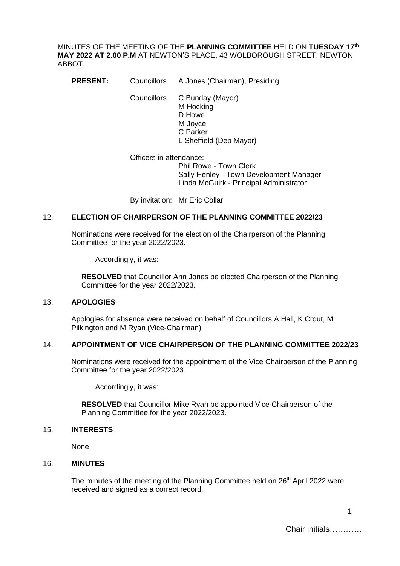MINUTES OF THE MEETING OF THE **PLANNING COMMITTEE** HELD ON **TUESDAY 17th MAY 2022 AT 2.00 P.M** AT NEWTON'S PLACE, 43 WOLBOROUGH STREET, NEWTON ABBOT.

**PRESENT:** Councillors A Jones (Chairman), Presiding

Councillors C Bunday (Mayor) M Hocking D Howe M Joyce C Parker L Sheffield (Dep Mayor)

Officers in attendance: Phil Rowe - Town Clerk Sally Henley - Town Development Manager Linda McGuirk - Principal Administrator

By invitation: Mr Eric Collar

#### 12. **ELECTION OF CHAIRPERSON OF THE PLANNING COMMITTEE 2022/23**

Nominations were received for the election of the Chairperson of the Planning Committee for the year 2022/2023.

Accordingly, it was:

**RESOLVED** that Councillor Ann Jones be elected Chairperson of the Planning Committee for the year 2022/2023.

#### 13. **APOLOGIES**

Apologies for absence were received on behalf of Councillors A Hall, K Crout, M Pilkington and M Ryan (Vice-Chairman)

#### 14. **APPOINTMENT OF VICE CHAIRPERSON OF THE PLANNING COMMITTEE 2022/23**

Nominations were received for the appointment of the Vice Chairperson of the Planning Committee for the year 2022/2023.

Accordingly, it was:

**RESOLVED** that Councillor Mike Ryan be appointed Vice Chairperson of the Planning Committee for the year 2022/2023.

#### 15. **INTERESTS**

None

## 16. **MINUTES**

The minutes of the meeting of the Planning Committee held on 26<sup>th</sup> April 2022 were received and signed as a correct record.

Chair initials…………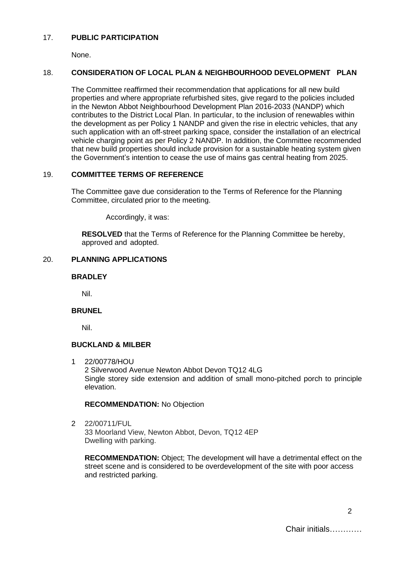### 17. **PUBLIC PARTICIPATION**

None.

## 18. **CONSIDERATION OF LOCAL PLAN & NEIGHBOURHOOD DEVELOPMENT PLAN**

The Committee reaffirmed their recommendation that applications for all new build properties and where appropriate refurbished sites, give regard to the policies included in the Newton Abbot Neighbourhood Development Plan 2016-2033 (NANDP) which contributes to the District Local Plan. In particular, to the inclusion of renewables within the development as per Policy 1 NANDP and given the rise in electric vehicles, that any such application with an off-street parking space, consider the installation of an electrical vehicle charging point as per Policy 2 NANDP. In addition, the Committee recommended that new build properties should include provision for a sustainable heating system given the Government's intention to cease the use of mains gas central heating from 2025.

### 19. **COMMITTEE TERMS OF REFERENCE**

The Committee gave due consideration to the Terms of Reference for the Planning Committee, circulated prior to the meeting.

Accordingly, it was:

**RESOLVED** that the Terms of Reference for the Planning Committee be hereby, approved and adopted.

### 20. **PLANNING APPLICATIONS**

### **BRADLEY**

Nil.

#### **BRUNEL**

Nil.

#### **BUCKLAND & MILBER**

1 22/00778/HOU

2 Silverwood Avenue Newton Abbot Devon TQ12 4LG Single storey side extension and addition of small mono-pitched porch to principle elevation.

#### **RECOMMENDATION:** No Objection

2 22/00711/FUL 33 Moorland View, Newton Abbot, Devon, TQ12 4EP Dwelling with parking.

**RECOMMENDATION:** Object; The development will have a detrimental effect on the street scene and is considered to be overdevelopment of the site with poor access and restricted parking.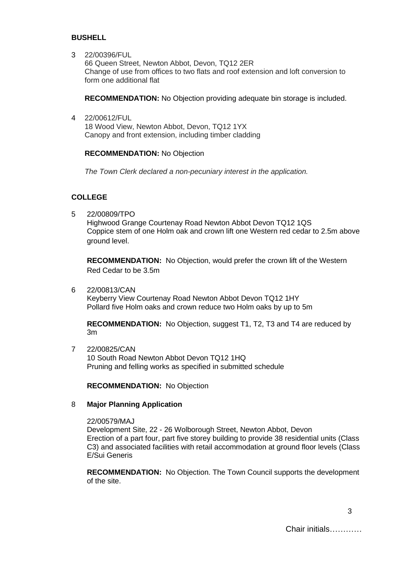#### **BUSHELL**

3 22/00396/FUL

66 Queen Street, Newton Abbot, Devon, TQ12 2ER Change of use from offices to two flats and roof extension and loft conversion to form one additional flat

**RECOMMENDATION:** No Objection providing adequate bin storage is included.

4 22/00612/FUL

18 Wood View, Newton Abbot, Devon, TQ12 1YX Canopy and front extension, including timber cladding

#### **RECOMMENDATION:** No Objection

*The Town Clerk declared a non-pecuniary interest in the application.*

#### **COLLEGE**

5 22/00809/TPO

Highwood Grange Courtenay Road Newton Abbot Devon TQ12 1QS Coppice stem of one Holm oak and crown lift one Western red cedar to 2.5m above ground level.

**RECOMMENDATION:** No Objection, would prefer the crown lift of the Western Red Cedar to be 3.5m

6 22/00813/CAN

Keyberry View Courtenay Road Newton Abbot Devon TQ12 1HY Pollard five Holm oaks and crown reduce two Holm oaks by up to 5m

**RECOMMENDATION:** No Objection, suggest T1, T2, T3 and T4 are reduced by 3m

7 22/00825/CAN 10 South Road Newton Abbot Devon TQ12 1HQ Pruning and felling works as specified in submitted schedule

**RECOMMENDATION:** No Objection

#### 8 **Major Planning Application**

22/00579/MAJ

Development Site, 22 - 26 Wolborough Street, Newton Abbot, Devon Erection of a part four, part five storey building to provide 38 residential units (Class C3) and associated facilities with retail accommodation at ground floor levels (Class E/Sui Generis

**RECOMMENDATION:** No Objection. The Town Council supports the development of the site.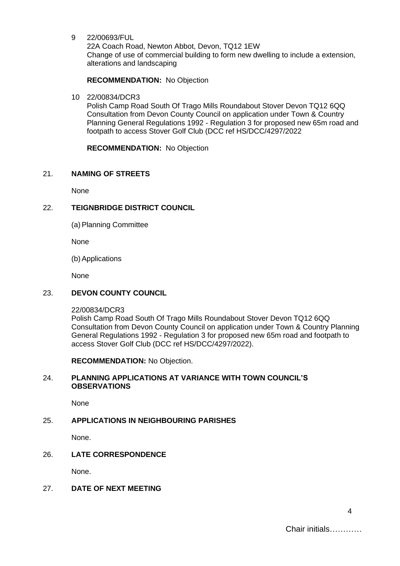9 22/00693/FUL

22A Coach Road, Newton Abbot, Devon, TQ12 1EW Change of use of commercial building to form new dwelling to include a extension, alterations and landscaping

#### **RECOMMENDATION:** No Objection

10 22/00834/DCR3

Polish Camp Road South Of Trago Mills Roundabout Stover Devon TQ12 6QQ Consultation from Devon County Council on application under Town & Country Planning General Regulations 1992 - Regulation 3 for proposed new 65m road and footpath to access Stover Golf Club (DCC ref HS/DCC/4297/2022

**RECOMMENDATION:** No Objection

#### 21. **NAMING OF STREETS**

None

## 22. **TEIGNBRIDGE DISTRICT COUNCIL**

(a) Planning Committee

None

(b)Applications

None

#### 23. **DEVON COUNTY COUNCIL**

22/00834/DCR3

Polish Camp Road South Of Trago Mills Roundabout Stover Devon TQ12 6QQ Consultation from Devon County Council on application under Town & Country Planning General Regulations 1992 - Regulation 3 for proposed new 65m road and footpath to access Stover Golf Club (DCC ref HS/DCC/4297/2022).

**RECOMMENDATION:** No Objection.

#### 24. **PLANNING APPLICATIONS AT VARIANCE WITH TOWN COUNCIL'S OBSERVATIONS**

None

# 25. **APPLICATIONS IN NEIGHBOURING PARISHES**

None.

## 26. **LATE CORRESPONDENCE**

None.

## 27. **DATE OF NEXT MEETING**